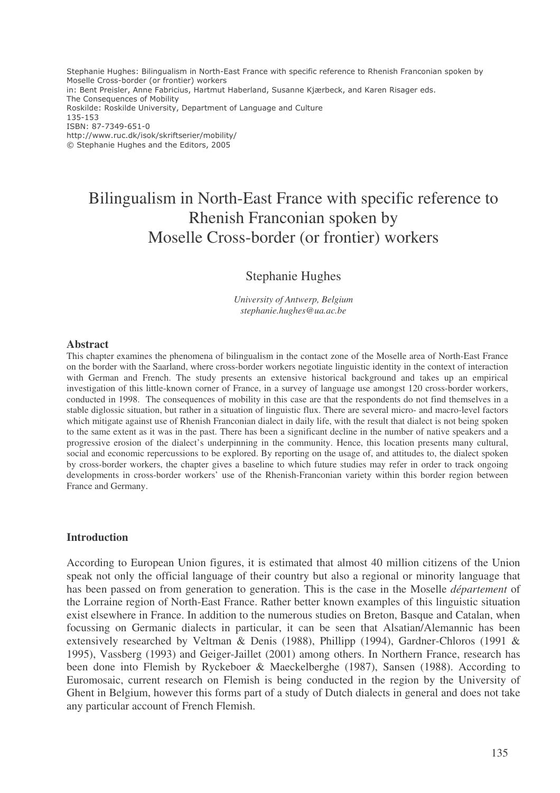Stephanie Hughes: Bilingualism in North-East France with specific reference to Rhenish Franconian spoken by Moselle Cross-border (or frontier) workers in: Bent Preisler, Anne Fabricius, Hartmut Haberland, Susanne Kjærbeck, and Karen Risager eds. The Consequences of Mobility Roskilde: Roskilde University, Department of Language and Culture 135-153 ISBN: 87-7349-651-0 http://www.ruc.dk/isok/skriftserier/mobility/ © Stephanie Hughes and the Editors, 2005

# Bilingualism in North-East France with specific reference to Rhenish Franconian spoken by Moselle Cross-border (or frontier) workers

# Stephanie Hughes

*University of Antwerp, Belgium stephanie.hughes@ua.ac.be*

### **Abstract**

This chapter examines the phenomena of bilingualism in the contact zone of the Moselle area of North-East France on the border with the Saarland, where cross-border workers negotiate linguistic identity in the context of interaction with German and French. The study presents an extensive historical background and takes up an empirical investigation of this little-known corner of France, in a survey of language use amongst 120 cross-border workers, conducted in 1998. The consequences of mobility in this case are that the respondents do not find themselves in a stable diglossic situation, but rather in a situation of linguistic flux. There are several micro- and macro-level factors which mitigate against use of Rhenish Franconian dialect in daily life, with the result that dialect is not being spoken to the same extent as it was in the past. There has been a significant decline in the number of native speakers and a progressive erosion of the dialect's underpinning in the community. Hence, this location presents many cultural, social and economic repercussions to be explored. By reporting on the usage of, and attitudes to, the dialect spoken by cross-border workers, the chapter gives a baseline to which future studies may refer in order to track ongoing developments in cross-border workers' use of the Rhenish-Franconian variety within this border region between France and Germany.

### **Introduction**

According to European Union figures, it is estimated that almost 40 million citizens of the Union speak not only the official language of their country but also a regional or minority language that has been passed on from generation to generation. This is the case in the Moselle *département* of the Lorraine region of North-East France. Rather better known examples of this linguistic situation exist elsewhere in France. In addition to the numerous studies on Breton, Basque and Catalan, when focussing on Germanic dialects in particular, it can be seen that Alsatian/Alemannic has been extensively researched by Veltman & Denis (1988), Phillipp (1994), Gardner-Chloros (1991 & 1995), Vassberg (1993) and Geiger-Jaillet (2001) among others. In Northern France, research has been done into Flemish by Ryckeboer & Maeckelberghe (1987), Sansen (1988). According to Euromosaic, current research on Flemish is being conducted in the region by the University of Ghent in Belgium, however this forms part of a study of Dutch dialects in general and does not take any particular account of French Flemish.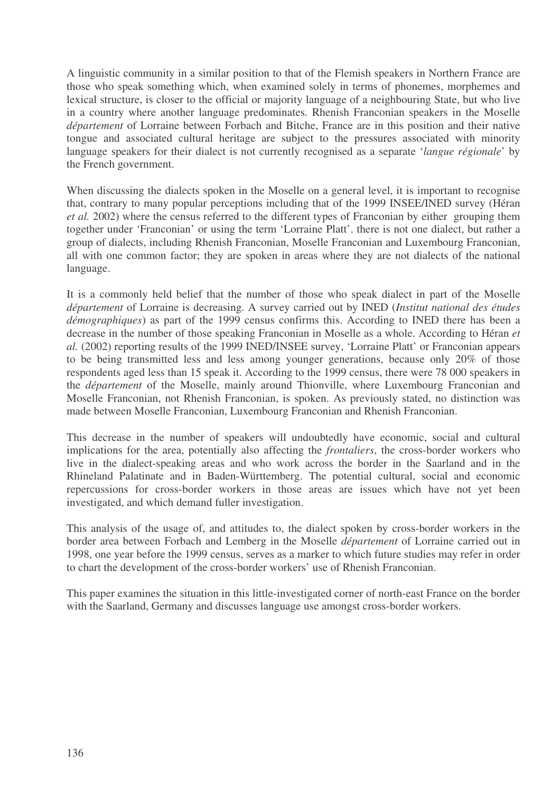A linguistic community in a similar position to that of the Flemish speakers in Northern France are those who speak something which, when examined solely in terms of phonemes, morphemes and lexical structure, is closer to the official or majority language of a neighbouring State, but who live in a country where another language predominates. Rhenish Franconian speakers in the Moselle *département* of Lorraine between Forbach and Bitche, France are in this position and their native tongue and associated cultural heritage are subject to the pressures associated with minority language speakers for their dialect is not currently recognised as a separate '*langue régionale*' by the French government.

When discussing the dialects spoken in the Moselle on a general level, it is important to recognise that, contrary to many popular perceptions including that of the 1999 INSEE/INED survey (Héran *et al.* 2002) where the census referred to the different types of Franconian by either grouping them together under 'Franconian' or using the term 'Lorraine Platt'. there is not one dialect, but rather a group of dialects, including Rhenish Franconian, Moselle Franconian and Luxembourg Franconian, all with one common factor; they are spoken in areas where they are not dialects of the national language.

It is a commonly held belief that the number of those who speak dialect in part of the Moselle *département* of Lorraine is decreasing. A survey carried out by INED (*Institut national des études démographiques*) as part of the 1999 census confirms this. According to INED there has been a decrease in the number of those speaking Franconian in Moselle as a whole. According to Héran *et al.* (2002) reporting results of the 1999 INED/INSEE survey, 'Lorraine Platt' or Franconian appears to be being transmitted less and less among younger generations, because only 20% of those respondents aged less than 15 speak it. According to the 1999 census, there were 78 000 speakers in the *département* of the Moselle, mainly around Thionville, where Luxembourg Franconian and Moselle Franconian, not Rhenish Franconian, is spoken. As previously stated, no distinction was made between Moselle Franconian, Luxembourg Franconian and Rhenish Franconian.

This decrease in the number of speakers will undoubtedly have economic, social and cultural implications for the area, potentially also affecting the *frontaliers*, the cross-border workers who live in the dialect-speaking areas and who work across the border in the Saarland and in the Rhineland Palatinate and in Baden-Württemberg. The potential cultural, social and economic repercussions for cross-border workers in those areas are issues which have not yet been investigated, and which demand fuller investigation.

This analysis of the usage of, and attitudes to, the dialect spoken by cross-border workers in the border area between Forbach and Lemberg in the Moselle *département* of Lorraine carried out in 1998, one year before the 1999 census, serves as a marker to which future studies may refer in order to chart the development of the cross-border workers' use of Rhenish Franconian.

This paper examines the situation in this little-investigated corner of north-east France on the border with the Saarland, Germany and discusses language use amongst cross-border workers.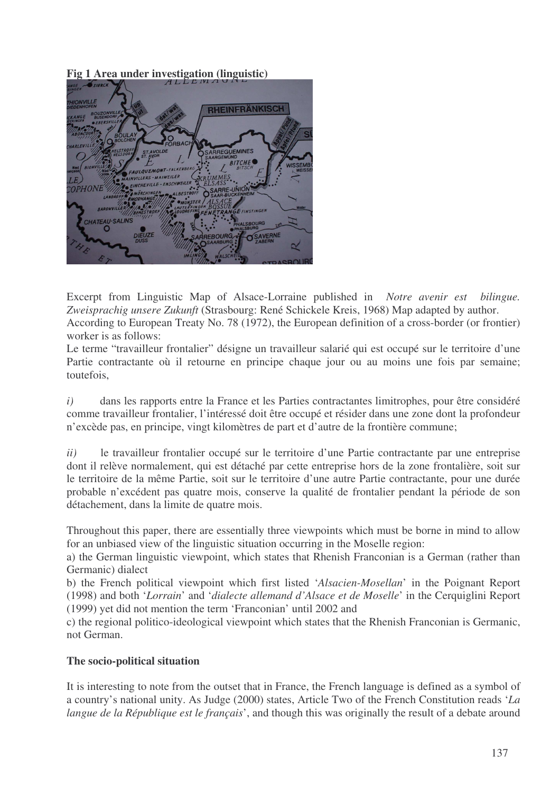**Fig 1 Area under investigation (linguistic)**



Excerpt from Linguistic Map of Alsace-Lorraine published in *Notre avenir est bilingue. Zweisprachig unsere Zukunft* (Strasbourg: René Schickele Kreis, 1968) Map adapted by author. According to European Treaty No. 78 (1972), the European definition of a cross-border (or frontier) worker is as follows:

Le terme "travailleur frontalier" désigne un travailleur salarié qui est occupé sur le territoire d'une Partie contractante où il retourne en principe chaque jour ou au moins une fois par semaine; toutefois,

*i)* dans les rapports entre la France et les Parties contractantes limitrophes, pour être considéré comme travailleur frontalier, l'intéressé doit être occupé et résider dans une zone dont la profondeur n'excède pas, en principe, vingt kilomètres de part et d'autre de la frontière commune;

*ii)* le travailleur frontalier occupé sur le territoire d'une Partie contractante par une entreprise dont il relève normalement, qui est détaché par cette entreprise hors de la zone frontalière, soit sur le territoire de la même Partie, soit sur le territoire d'une autre Partie contractante, pour une durée probable n'excédent pas quatre mois, conserve la qualité de frontalier pendant la période de son détachement, dans la limite de quatre mois.

Throughout this paper, there are essentially three viewpoints which must be borne in mind to allow for an unbiased view of the linguistic situation occurring in the Moselle region:

a) the German linguistic viewpoint, which states that Rhenish Franconian is a German (rather than Germanic) dialect

b) the French political viewpoint which first listed '*Alsacien-Mosellan*' in the Poignant Report (1998) and both '*Lorrain*' and '*dialecte allemand d'Alsace et de Moselle*' in the Cerquiglini Report (1999) yet did not mention the term 'Franconian' until 2002 and

c) the regional politico-ideological viewpoint which states that the Rhenish Franconian is Germanic, not German.

# **The socio-political situation**

It is interesting to note from the outset that in France, the French language is defined as a symbol of a country's national unity. As Judge (2000) states, Article Two of the French Constitution reads '*La langue de la République est le français*', and though this was originally the result of a debate around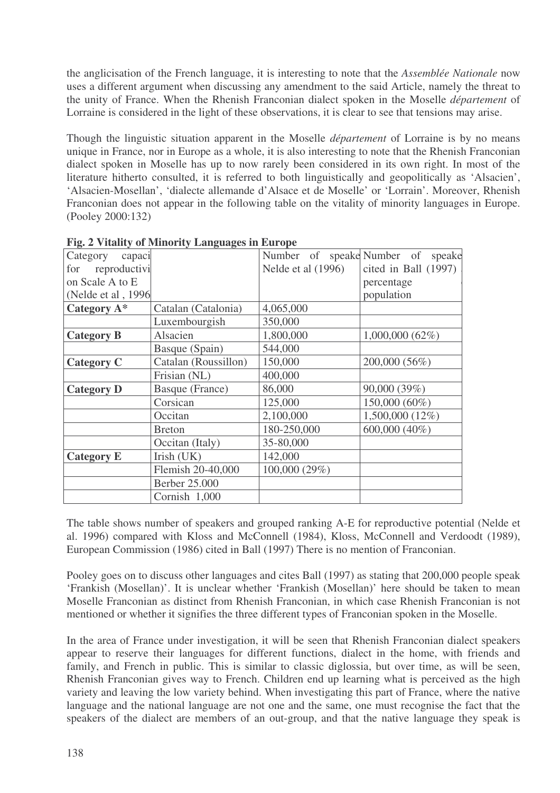the anglicisation of the French language, it is interesting to note that the *Assemblée Nationale* now uses a different argument when discussing any amendment to the said Article, namely the threat to the unity of France. When the Rhenish Franconian dialect spoken in the Moselle *département* of Lorraine is considered in the light of these observations, it is clear to see that tensions may arise.

Though the linguistic situation apparent in the Moselle *département* of Lorraine is by no means unique in France, nor in Europe as a whole, it is also interesting to note that the Rhenish Franconian dialect spoken in Moselle has up to now rarely been considered in its own right. In most of the literature hitherto consulted, it is referred to both linguistically and geopolitically as 'Alsacien', 'Alsacien-Mosellan', 'dialecte allemande d'Alsace et de Moselle' or 'Lorrain'. Moreover, Rhenish Franconian does not appear in the following table on the vitality of minority languages in Europe. (Pooley 2000:132)

| capaci<br>Category  |                      |                    | Number of speake Number of speake |
|---------------------|----------------------|--------------------|-----------------------------------|
| for reproductivi    |                      | Nelde et al (1996) | cited in Ball (1997)              |
| on Scale A to E     |                      |                    | percentage                        |
| (Nelde et al, 1996) |                      |                    | population                        |
| Category A*         | Catalan (Catalonia)  | 4,065,000          |                                   |
|                     | Luxembourgish        | 350,000            |                                   |
| <b>Category B</b>   | Alsacien             | 1,800,000          | $1,000,000$ $(62\%)$              |
|                     | Basque (Spain)       | 544,000            |                                   |
| <b>Category C</b>   | Catalan (Roussillon) | 150,000            | 200,000 (56%)                     |
|                     | Frisian (NL)         | 400,000            |                                   |
| <b>Category D</b>   | Basque (France)      | 86,000             | 90,000 (39%)                      |
|                     | Corsican             | 125,000            | 150,000 (60%)                     |
|                     | Occitan              | 2,100,000          | 1,500,000 (12%)                   |
|                     | <b>Breton</b>        | 180-250,000        | 600,000 (40%)                     |
|                     | Occitan (Italy)      | 35-80,000          |                                   |
| <b>Category E</b>   | Irish (UK)           | 142,000            |                                   |
|                     | Flemish 20-40,000    | 100,000 (29%)      |                                   |
|                     | Berber 25.000        |                    |                                   |
|                     | Cornish 1,000        |                    |                                   |

|  |  |  | Fig. 2 Vitality of Minority Languages in Europe |  |  |
|--|--|--|-------------------------------------------------|--|--|
|--|--|--|-------------------------------------------------|--|--|

The table shows number of speakers and grouped ranking A-E for reproductive potential (Nelde et al. 1996) compared with Kloss and McConnell (1984), Kloss, McConnell and Verdoodt (1989), European Commission (1986) cited in Ball (1997) There is no mention of Franconian.

Pooley goes on to discuss other languages and cites Ball (1997) as stating that 200,000 people speak 'Frankish (Mosellan)'. It is unclear whether 'Frankish (Mosellan)' here should be taken to mean Moselle Franconian as distinct from Rhenish Franconian, in which case Rhenish Franconian is not mentioned or whether it signifies the three different types of Franconian spoken in the Moselle.

In the area of France under investigation, it will be seen that Rhenish Franconian dialect speakers appear to reserve their languages for different functions, dialect in the home, with friends and family, and French in public. This is similar to classic diglossia, but over time, as will be seen, Rhenish Franconian gives way to French. Children end up learning what is perceived as the high variety and leaving the low variety behind. When investigating this part of France, where the native language and the national language are not one and the same, one must recognise the fact that the speakers of the dialect are members of an out-group, and that the native language they speak is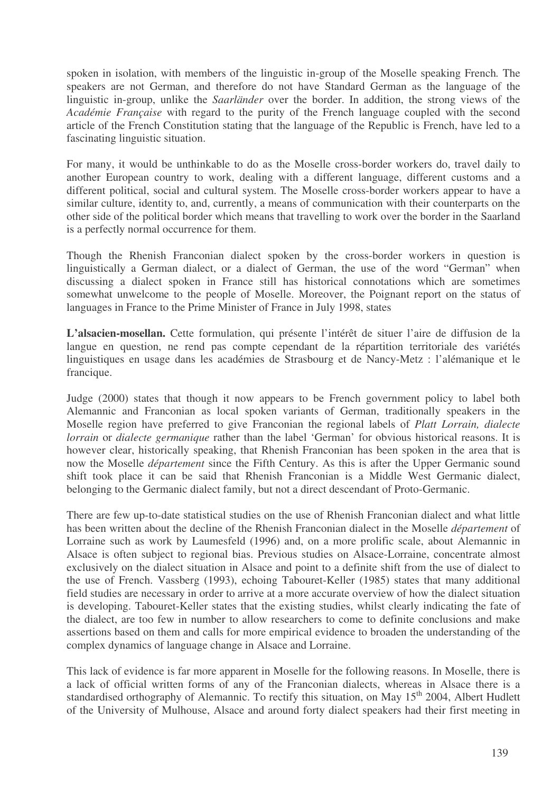spoken in isolation, with members of the linguistic in-group of the Moselle speaking French*.* The speakers are not German, and therefore do not have Standard German as the language of the linguistic in-group, unlike the *Saarländer* over the border. In addition, the strong views of the *Académie Française* with regard to the purity of the French language coupled with the second article of the French Constitution stating that the language of the Republic is French, have led to a fascinating linguistic situation.

For many, it would be unthinkable to do as the Moselle cross-border workers do, travel daily to another European country to work, dealing with a different language, different customs and a different political, social and cultural system. The Moselle cross-border workers appear to have a similar culture, identity to, and, currently, a means of communication with their counterparts on the other side of the political border which means that travelling to work over the border in the Saarland is a perfectly normal occurrence for them.

Though the Rhenish Franconian dialect spoken by the cross-border workers in question is linguistically a German dialect, or a dialect of German, the use of the word "German" when discussing a dialect spoken in France still has historical connotations which are sometimes somewhat unwelcome to the people of Moselle. Moreover, the Poignant report on the status of languages in France to the Prime Minister of France in July 1998, states

**L'alsacien-mosellan.** Cette formulation, qui présente l'intérêt de situer l'aire de diffusion de la langue en question, ne rend pas compte cependant de la répartition territoriale des variétés linguistiques en usage dans les académies de Strasbourg et de Nancy-Metz : l'alémanique et le francique.

Judge (2000) states that though it now appears to be French government policy to label both Alemannic and Franconian as local spoken variants of German, traditionally speakers in the Moselle region have preferred to give Franconian the regional labels of *Platt Lorrain, dialecte lorrain* or *dialecte germanique* rather than the label 'German' for obvious historical reasons. It is however clear, historically speaking, that Rhenish Franconian has been spoken in the area that is now the Moselle *département* since the Fifth Century. As this is after the Upper Germanic sound shift took place it can be said that Rhenish Franconian is a Middle West Germanic dialect, belonging to the Germanic dialect family, but not a direct descendant of Proto-Germanic.

There are few up-to-date statistical studies on the use of Rhenish Franconian dialect and what little has been written about the decline of the Rhenish Franconian dialect in the Moselle *département* of Lorraine such as work by Laumesfeld (1996) and, on a more prolific scale, about Alemannic in Alsace is often subject to regional bias. Previous studies on Alsace-Lorraine, concentrate almost exclusively on the dialect situation in Alsace and point to a definite shift from the use of dialect to the use of French. Vassberg (1993), echoing Tabouret-Keller (1985) states that many additional field studies are necessary in order to arrive at a more accurate overview of how the dialect situation is developing. Tabouret-Keller states that the existing studies, whilst clearly indicating the fate of the dialect, are too few in number to allow researchers to come to definite conclusions and make assertions based on them and calls for more empirical evidence to broaden the understanding of the complex dynamics of language change in Alsace and Lorraine.

This lack of evidence is far more apparent in Moselle for the following reasons. In Moselle, there is a lack of official written forms of any of the Franconian dialects, whereas in Alsace there is a standardised orthography of Alemannic. To rectify this situation, on May 15<sup>th</sup> 2004, Albert Hudlett of the University of Mulhouse, Alsace and around forty dialect speakers had their first meeting in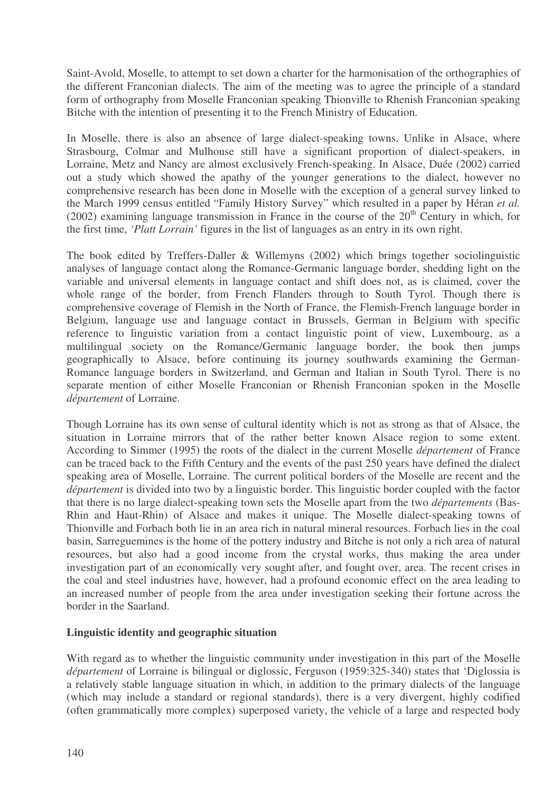Saint-Avold, Moselle, to attempt to set down a charter for the harmonisation of the orthographies of the different Franconian dialects. The aim of the meeting was to agree the principle of a standard form of orthography from Moselle Franconian speaking Thionville to Rhenish Franconian speaking Bitche with the intention of presenting it to the French Ministry of Education.

In Moselle, there is also an absence of large dialect-speaking towns. Unlike in Alsace, where Strasbourg, Colmar and Mulhouse still have a significant proportion of dialect-speakers, in Lorraine, Metz and Nancy are almost exclusively French-speaking. In Alsace, Duée (2002) carried out a study which showed the apathy of the younger generations to the dialect, however no comprehensive research has been done in Moselle with the exception of a general survey linked to the March 1999 census entitled "Family History Survey" which resulted in a paper by Héran *et al.*  $(2002)$  examining language transmission in France in the course of the  $20<sup>th</sup>$  Century in which, for the first time, *'Platt Lorrain'* figures in the list of languages as an entry in its own right.

The book edited by Treffers-Daller & Willemyns (2002) which brings together sociolinguistic analyses of language contact along the Romance-Germanic language border, shedding light on the variable and universal elements in language contact and shift does not, as is claimed, cover the whole range of the border, from French Flanders through to South Tyrol. Though there is comprehensive coverage of Flemish in the North of France, the Flemish-French language border in Belgium, language use and language contact in Brussels, German in Belgium with specific reference to linguistic variation from a contact linguistic point of view, Luxembourg, as a multilingual society on the Romance/Germanic language border, the book then jumps geographically to Alsace, before continuing its journey southwards examining the German-Romance language borders in Switzerland, and German and Italian in South Tyrol. There is no separate mention of either Moselle Franconian or Rhenish Franconian spoken in the Moselle *département* of Lorraine.

Though Lorraine has its own sense of cultural identity which is not as strong as that of Alsace, the situation in Lorraine mirrors that of the rather better known Alsace region to some extent. According to Simmer (1995) the roots of the dialect in the current Moselle *département* of France can be traced back to the Fifth Century and the events of the past 250 years have defined the dialect speaking area of Moselle, Lorraine. The current political borders of the Moselle are recent and the *département* is divided into two by a linguistic border. This linguistic border coupled with the factor that there is no large dialect-speaking town sets the Moselle apart from the two *départements* (Bas-Rhin and Haut-Rhin) of Alsace and makes it unique. The Moselle dialect-speaking towns of Thionville and Forbach both lie in an area rich in natural mineral resources. Forbach lies in the coal basin, Sarreguemines is the home of the pottery industry and Bitche is not only a rich area of natural resources, but also had a good income from the crystal works, thus making the area under investigation part of an economically very sought after, and fought over, area. The recent crises in the coal and steel industries have, however, had a profound economic effect on the area leading to an increased number of people from the area under investigation seeking their fortune across the border in the Saarland.

# **Linguistic identity and geographic situation**

With regard as to whether the linguistic community under investigation in this part of the Moselle *département* of Lorraine is bilingual or diglossic, Ferguson (1959:325-340) states that 'Diglossia is a relatively stable language situation in which, in addition to the primary dialects of the language (which may include a standard or regional standards), there is a very divergent, highly codified (often grammatically more complex) superposed variety, the vehicle of a large and respected body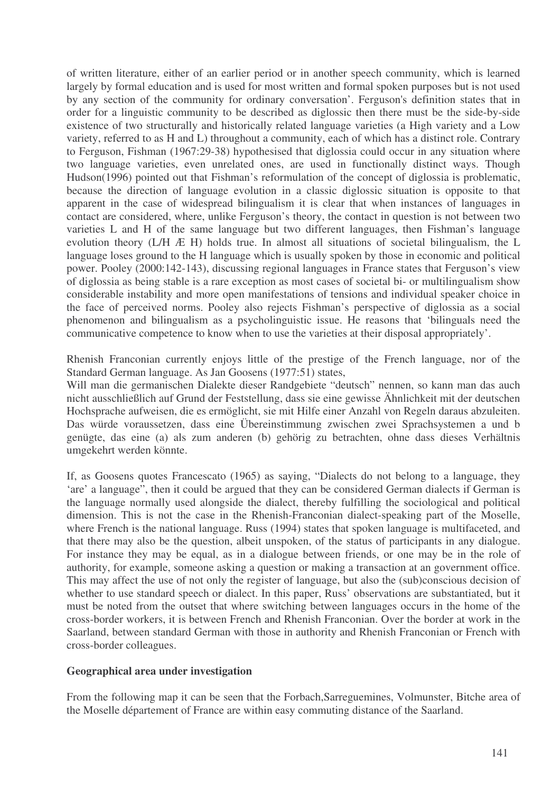of written literature, either of an earlier period or in another speech community, which is learned largely by formal education and is used for most written and formal spoken purposes but is not used by any section of the community for ordinary conversation'. Ferguson's definition states that in order for a linguistic community to be described as diglossic then there must be the side-by-side existence of two structurally and historically related language varieties (a High variety and a Low variety, referred to as H and L) throughout a community, each of which has a distinct role. Contrary to Ferguson, Fishman (1967:29-38) hypothesised that diglossia could occur in any situation where two language varieties, even unrelated ones, are used in functionally distinct ways. Though Hudson(1996) pointed out that Fishman's reformulation of the concept of diglossia is problematic, because the direction of language evolution in a classic diglossic situation is opposite to that apparent in the case of widespread bilingualism it is clear that when instances of languages in contact are considered, where, unlike Ferguson's theory, the contact in question is not between two varieties L and H of the same language but two different languages, then Fishman's language evolution theory (L/H Æ H) holds true. In almost all situations of societal bilingualism, the L language loses ground to the H language which is usually spoken by those in economic and political power. Pooley (2000:142-143), discussing regional languages in France states that Ferguson's view of diglossia as being stable is a rare exception as most cases of societal bi- or multilingualism show considerable instability and more open manifestations of tensions and individual speaker choice in the face of perceived norms. Pooley also rejects Fishman's perspective of diglossia as a social phenomenon and bilingualism as a psycholinguistic issue. He reasons that 'bilinguals need the communicative competence to know when to use the varieties at their disposal appropriately'.

Rhenish Franconian currently enjoys little of the prestige of the French language, nor of the Standard German language. As Jan Goosens (1977:51) states,

Will man die germanischen Dialekte dieser Randgebiete "deutsch" nennen, so kann man das auch nicht ausschließlich auf Grund der Feststellung, dass sie eine gewisse Ähnlichkeit mit der deutschen Hochsprache aufweisen, die es ermöglicht, sie mit Hilfe einer Anzahl von Regeln daraus abzuleiten. Das würde voraussetzen, dass eine Übereinstimmung zwischen zwei Sprachsystemen a und b genügte, das eine (a) als zum anderen (b) gehörig zu betrachten, ohne dass dieses Verhältnis umgekehrt werden könnte.

If, as Goosens quotes Francescato (1965) as saying, "Dialects do not belong to a language, they 'are' a language", then it could be argued that they can be considered German dialects if German is the language normally used alongside the dialect, thereby fulfilling the sociological and political dimension. This is not the case in the Rhenish-Franconian dialect-speaking part of the Moselle, where French is the national language. Russ (1994) states that spoken language is multifaceted, and that there may also be the question, albeit unspoken, of the status of participants in any dialogue. For instance they may be equal, as in a dialogue between friends, or one may be in the role of authority, for example, someone asking a question or making a transaction at an government office. This may affect the use of not only the register of language, but also the (sub)conscious decision of whether to use standard speech or dialect. In this paper, Russ' observations are substantiated, but it must be noted from the outset that where switching between languages occurs in the home of the cross-border workers, it is between French and Rhenish Franconian. Over the border at work in the Saarland, between standard German with those in authority and Rhenish Franconian or French with cross-border colleagues.

### **Geographical area under investigation**

From the following map it can be seen that the Forbach,Sarreguemines, Volmunster, Bitche area of the Moselle département of France are within easy commuting distance of the Saarland.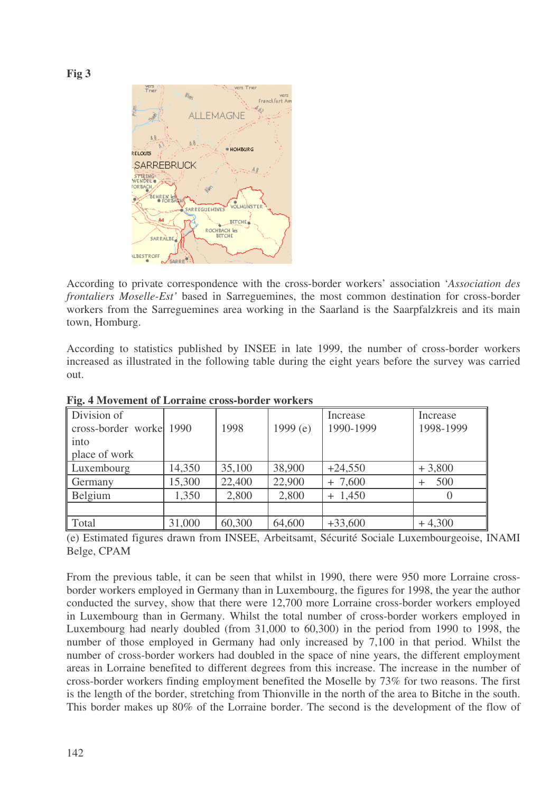**Fig 3**



According to private correspondence with the cross-border workers' association '*Association des frontaliers Moselle-Est'* based in Sarreguemines, the most common destination for cross-border workers from the Sarreguemines area working in the Saarland is the Saarpfalzkreis and its main town, Homburg.

According to statistics published by INSEE in late 1999, the number of cross-border workers increased as illustrated in the following table during the eight years before the survey was carried out.

| The Thrownight of Borraine eross soraer workers |        |        |            |           |                     |  |  |  |  |
|-------------------------------------------------|--------|--------|------------|-----------|---------------------|--|--|--|--|
| Division of                                     |        |        |            | Increase  | Increase            |  |  |  |  |
| cross-border worke 1990                         |        | 1998   | 1999 $(e)$ | 1990-1999 | 1998-1999           |  |  |  |  |
| into                                            |        |        |            |           |                     |  |  |  |  |
| place of work                                   |        |        |            |           |                     |  |  |  |  |
| Luxembourg                                      | 14,350 | 35,100 | 38,900     | $+24,550$ | $+3,800$            |  |  |  |  |
| Germany                                         | 15,300 | 22,400 | 22,900     | $+7,600$  | 500<br>$\mathrm{+}$ |  |  |  |  |
| Belgium                                         | 1,350  | 2,800  | 2,800      | $+ 1,450$ |                     |  |  |  |  |
|                                                 |        |        |            |           |                     |  |  |  |  |
| Total                                           | 31,000 | 60,300 | 64,600     | $+33,600$ | $+4,300$            |  |  |  |  |

**Fig. 4 Movement of Lorraine cross-border workers**

(e) Estimated figures drawn from INSEE, Arbeitsamt, Sécurité Sociale Luxembourgeoise, INAMI Belge, CPAM

From the previous table, it can be seen that whilst in 1990, there were 950 more Lorraine crossborder workers employed in Germany than in Luxembourg, the figures for 1998, the year the author conducted the survey, show that there were 12,700 more Lorraine cross-border workers employed in Luxembourg than in Germany. Whilst the total number of cross-border workers employed in Luxembourg had nearly doubled (from 31,000 to 60,300) in the period from 1990 to 1998, the number of those employed in Germany had only increased by 7,100 in that period. Whilst the number of cross-border workers had doubled in the space of nine years, the different employment areas in Lorraine benefited to different degrees from this increase. The increase in the number of cross-border workers finding employment benefited the Moselle by 73% for two reasons. The first is the length of the border, stretching from Thionville in the north of the area to Bitche in the south. This border makes up 80% of the Lorraine border. The second is the development of the flow of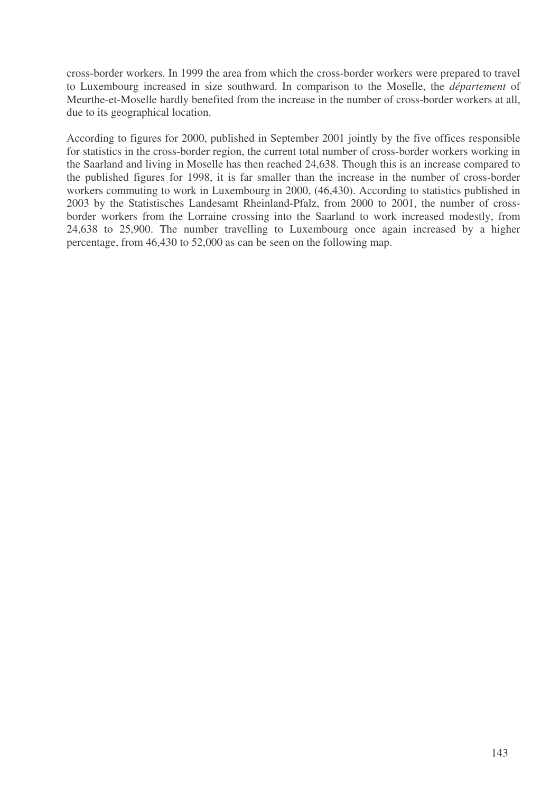cross-border workers. In 1999 the area from which the cross-border workers were prepared to travel to Luxembourg increased in size southward. In comparison to the Moselle, the *département* of Meurthe-et-Moselle hardly benefited from the increase in the number of cross-border workers at all, due to its geographical location.

According to figures for 2000, published in September 2001 jointly by the five offices responsible for statistics in the cross-border region, the current total number of cross-border workers working in the Saarland and living in Moselle has then reached 24,638. Though this is an increase compared to the published figures for 1998, it is far smaller than the increase in the number of cross-border workers commuting to work in Luxembourg in 2000, (46,430). According to statistics published in 2003 by the Statistisches Landesamt Rheinland-Pfalz, from 2000 to 2001, the number of crossborder workers from the Lorraine crossing into the Saarland to work increased modestly, from 24,638 to 25,900. The number travelling to Luxembourg once again increased by a higher percentage, from 46,430 to 52,000 as can be seen on the following map.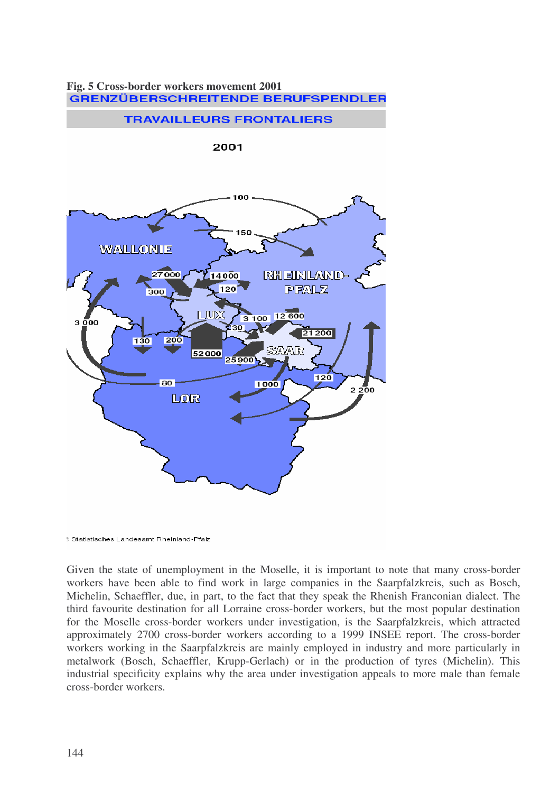

# **Fig. 5 Cross-border workers movement 2001**

Given the state of unemployment in the Moselle, it is important to note that many cross-border workers have been able to find work in large companies in the Saarpfalzkreis, such as Bosch, Michelin, Schaeffler, due, in part, to the fact that they speak the Rhenish Franconian dialect. The third favourite destination for all Lorraine cross-border workers, but the most popular destination for the Moselle cross-border workers under investigation, is the Saarpfalzkreis, which attracted approximately 2700 cross-border workers according to a 1999 INSEE report. The cross-border workers working in the Saarpfalzkreis are mainly employed in industry and more particularly in metalwork (Bosch, Schaeffler, Krupp-Gerlach) or in the production of tyres (Michelin). This industrial specificity explains why the area under investigation appeals to more male than female cross-border workers.

**<sup>3</sup> Statistisches Landesamt Rheinland-Pfalz**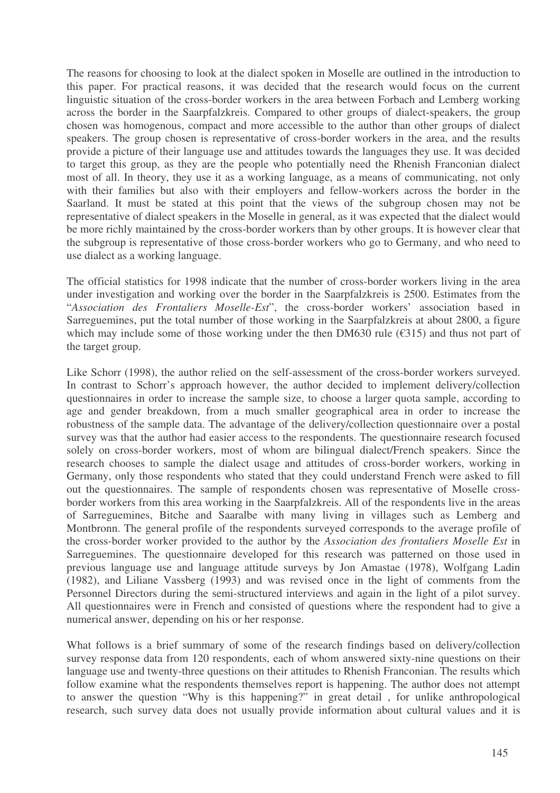The reasons for choosing to look at the dialect spoken in Moselle are outlined in the introduction to this paper. For practical reasons, it was decided that the research would focus on the current linguistic situation of the cross-border workers in the area between Forbach and Lemberg working across the border in the Saarpfalzkreis. Compared to other groups of dialect-speakers, the group chosen was homogenous, compact and more accessible to the author than other groups of dialect speakers. The group chosen is representative of cross-border workers in the area, and the results provide a picture of their language use and attitudes towards the languages they use. It was decided to target this group, as they are the people who potentially need the Rhenish Franconian dialect most of all. In theory, they use it as a working language, as a means of communicating, not only with their families but also with their employers and fellow-workers across the border in the Saarland. It must be stated at this point that the views of the subgroup chosen may not be representative of dialect speakers in the Moselle in general, as it was expected that the dialect would be more richly maintained by the cross-border workers than by other groups. It is however clear that the subgroup is representative of those cross-border workers who go to Germany, and who need to use dialect as a working language.

The official statistics for 1998 indicate that the number of cross-border workers living in the area under investigation and working over the border in the Saarpfalzkreis is 2500. Estimates from the "*Association des Frontaliers Moselle-Est*", the cross-border workers' association based in Sarreguemines, put the total number of those working in the Saarpfalzkreis at about 2800, a figure which may include some of those working under the then DM630 rule ( $\epsilon$ 315) and thus not part of the target group.

Like Schorr (1998), the author relied on the self-assessment of the cross-border workers surveyed. In contrast to Schorr's approach however, the author decided to implement delivery/collection questionnaires in order to increase the sample size, to choose a larger quota sample, according to age and gender breakdown, from a much smaller geographical area in order to increase the robustness of the sample data. The advantage of the delivery/collection questionnaire over a postal survey was that the author had easier access to the respondents. The questionnaire research focused solely on cross-border workers, most of whom are bilingual dialect/French speakers. Since the research chooses to sample the dialect usage and attitudes of cross-border workers, working in Germany, only those respondents who stated that they could understand French were asked to fill out the questionnaires. The sample of respondents chosen was representative of Moselle crossborder workers from this area working in the Saarpfalzkreis. All of the respondents live in the areas of Sarreguemines, Bitche and Saaralbe with many living in villages such as Lemberg and Montbronn. The general profile of the respondents surveyed corresponds to the average profile of the cross-border worker provided to the author by the *Association des frontaliers Moselle Est* in Sarreguemines. The questionnaire developed for this research was patterned on those used in previous language use and language attitude surveys by Jon Amastae (1978), Wolfgang Ladin (1982), and Liliane Vassberg (1993) and was revised once in the light of comments from the Personnel Directors during the semi-structured interviews and again in the light of a pilot survey. All questionnaires were in French and consisted of questions where the respondent had to give a numerical answer, depending on his or her response.

What follows is a brief summary of some of the research findings based on delivery/collection survey response data from 120 respondents, each of whom answered sixty-nine questions on their language use and twenty-three questions on their attitudes to Rhenish Franconian. The results which follow examine what the respondents themselves report is happening. The author does not attempt to answer the question "Why is this happening?" in great detail , for unlike anthropological research, such survey data does not usually provide information about cultural values and it is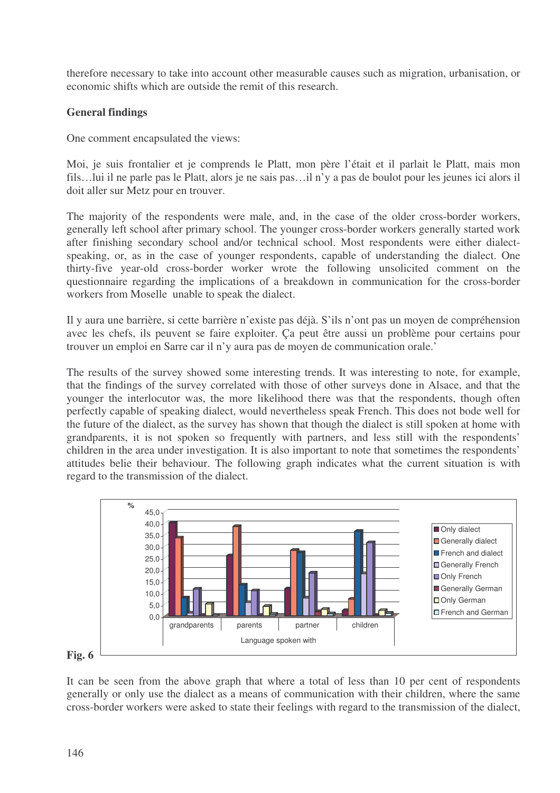therefore necessary to take into account other measurable causes such as migration, urbanisation, or economic shifts which are outside the remit of this research.

# **General findings**

One comment encapsulated the views:

Moi, je suis frontalier et je comprends le Platt, mon père l'était et il parlait le Platt, mais mon fils…lui il ne parle pas le Platt, alors je ne sais pas…il n'y a pas de boulot pour les jeunes ici alors il doit aller sur Metz pour en trouver.

The majority of the respondents were male, and, in the case of the older cross-border workers, generally left school after primary school. The younger cross-border workers generally started work after finishing secondary school and/or technical school. Most respondents were either dialectspeaking, or, as in the case of younger respondents, capable of understanding the dialect. One thirty-five year-old cross-border worker wrote the following unsolicited comment on the questionnaire regarding the implications of a breakdown in communication for the cross-border workers from Moselle unable to speak the dialect.

Il y aura une barrière, si cette barrière n'existe pas déjà. S'ils n'ont pas un moyen de compréhension avec les chefs, ils peuvent se faire exploiter. Ça peut être aussi un problème pour certains pour trouver un emploi en Sarre car il n'y aura pas de moyen de communication orale.'

The results of the survey showed some interesting trends. It was interesting to note, for example, that the findings of the survey correlated with those of other surveys done in Alsace, and that the younger the interlocutor was, the more likelihood there was that the respondents, though often perfectly capable of speaking dialect, would nevertheless speak French. This does not bode well for the future of the dialect, as the survey has shown that though the dialect is still spoken at home with grandparents, it is not spoken so frequently with partners, and less still with the respondents' children in the area under investigation. It is also important to note that sometimes the respondents' attitudes belie their behaviour. The following graph indicates what the current situation is with regard to the transmission of the dialect.



It can be seen from the above graph that where a total of less than 10 per cent of respondents generally or only use the dialect as a means of communication with their children, where the same cross-border workers were asked to state their feelings with regard to the transmission of the dialect,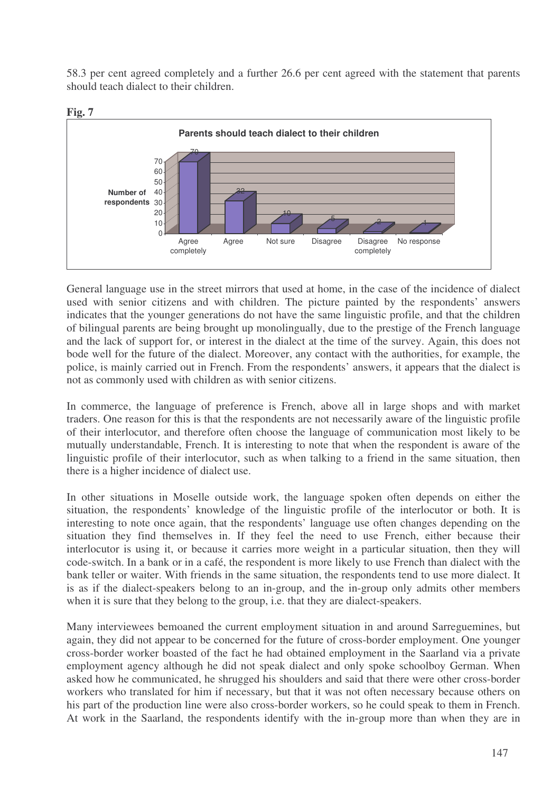58.3 per cent agreed completely and a further 26.6 per cent agreed with the statement that parents should teach dialect to their children.



General language use in the street mirrors that used at home, in the case of the incidence of dialect used with senior citizens and with children. The picture painted by the respondents' answers indicates that the younger generations do not have the same linguistic profile, and that the children of bilingual parents are being brought up monolingually, due to the prestige of the French language and the lack of support for, or interest in the dialect at the time of the survey. Again, this does not bode well for the future of the dialect. Moreover, any contact with the authorities, for example, the police, is mainly carried out in French. From the respondents' answers, it appears that the dialect is not as commonly used with children as with senior citizens.

In commerce, the language of preference is French, above all in large shops and with market traders. One reason for this is that the respondents are not necessarily aware of the linguistic profile of their interlocutor, and therefore often choose the language of communication most likely to be mutually understandable, French. It is interesting to note that when the respondent is aware of the linguistic profile of their interlocutor, such as when talking to a friend in the same situation, then there is a higher incidence of dialect use.

In other situations in Moselle outside work, the language spoken often depends on either the situation, the respondents' knowledge of the linguistic profile of the interlocutor or both. It is interesting to note once again, that the respondents' language use often changes depending on the situation they find themselves in. If they feel the need to use French, either because their interlocutor is using it, or because it carries more weight in a particular situation, then they will code-switch. In a bank or in a café, the respondent is more likely to use French than dialect with the bank teller or waiter. With friends in the same situation, the respondents tend to use more dialect. It is as if the dialect-speakers belong to an in-group, and the in-group only admits other members when it is sure that they belong to the group, i.e. that they are dialect-speakers.

Many interviewees bemoaned the current employment situation in and around Sarreguemines, but again, they did not appear to be concerned for the future of cross-border employment. One younger cross-border worker boasted of the fact he had obtained employment in the Saarland via a private employment agency although he did not speak dialect and only spoke schoolboy German. When asked how he communicated, he shrugged his shoulders and said that there were other cross-border workers who translated for him if necessary, but that it was not often necessary because others on his part of the production line were also cross-border workers, so he could speak to them in French. At work in the Saarland, the respondents identify with the in-group more than when they are in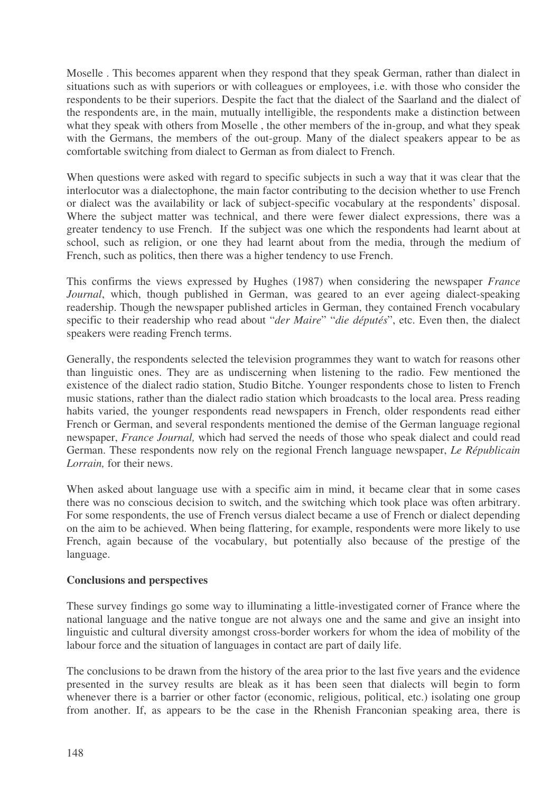Moselle . This becomes apparent when they respond that they speak German, rather than dialect in situations such as with superiors or with colleagues or employees, i.e. with those who consider the respondents to be their superiors. Despite the fact that the dialect of the Saarland and the dialect of the respondents are, in the main, mutually intelligible, the respondents make a distinction between what they speak with others from Moselle , the other members of the in-group, and what they speak with the Germans, the members of the out-group. Many of the dialect speakers appear to be as comfortable switching from dialect to German as from dialect to French.

When questions were asked with regard to specific subjects in such a way that it was clear that the interlocutor was a dialectophone, the main factor contributing to the decision whether to use French or dialect was the availability or lack of subject-specific vocabulary at the respondents' disposal. Where the subject matter was technical, and there were fewer dialect expressions, there was a greater tendency to use French. If the subject was one which the respondents had learnt about at school, such as religion, or one they had learnt about from the media, through the medium of French, such as politics, then there was a higher tendency to use French.

This confirms the views expressed by Hughes (1987) when considering the newspaper *France Journal*, which, though published in German, was geared to an ever ageing dialect-speaking readership. Though the newspaper published articles in German, they contained French vocabulary specific to their readership who read about "*der Maire*" "*die députés*", etc. Even then, the dialect speakers were reading French terms.

Generally, the respondents selected the television programmes they want to watch for reasons other than linguistic ones. They are as undiscerning when listening to the radio. Few mentioned the existence of the dialect radio station, Studio Bitche. Younger respondents chose to listen to French music stations, rather than the dialect radio station which broadcasts to the local area. Press reading habits varied, the younger respondents read newspapers in French, older respondents read either French or German, and several respondents mentioned the demise of the German language regional newspaper, *France Journal,* which had served the needs of those who speak dialect and could read German. These respondents now rely on the regional French language newspaper, *Le Républicain Lorrain,* for their news.

When asked about language use with a specific aim in mind, it became clear that in some cases there was no conscious decision to switch, and the switching which took place was often arbitrary. For some respondents, the use of French versus dialect became a use of French or dialect depending on the aim to be achieved. When being flattering, for example, respondents were more likely to use French, again because of the vocabulary, but potentially also because of the prestige of the language.

# **Conclusions and perspectives**

These survey findings go some way to illuminating a little-investigated corner of France where the national language and the native tongue are not always one and the same and give an insight into linguistic and cultural diversity amongst cross-border workers for whom the idea of mobility of the labour force and the situation of languages in contact are part of daily life.

The conclusions to be drawn from the history of the area prior to the last five years and the evidence presented in the survey results are bleak as it has been seen that dialects will begin to form whenever there is a barrier or other factor (economic, religious, political, etc.) isolating one group from another. If, as appears to be the case in the Rhenish Franconian speaking area, there is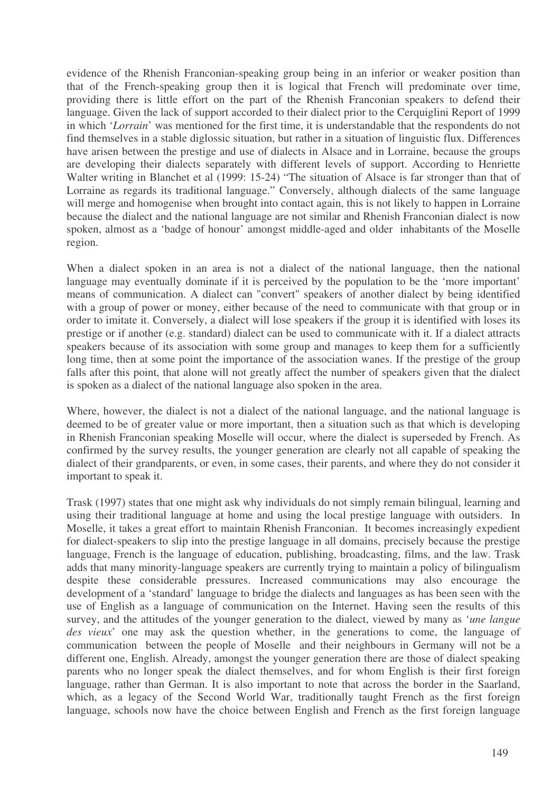evidence of the Rhenish Franconian-speaking group being in an inferior or weaker position than that of the French-speaking group then it is logical that French will predominate over time, providing there is little effort on the part of the Rhenish Franconian speakers to defend their language. Given the lack of support accorded to their dialect prior to the Cerquiglini Report of 1999 in which '*Lorrain*' was mentioned for the first time, it is understandable that the respondents do not find themselves in a stable diglossic situation, but rather in a situation of linguistic flux. Differences have arisen between the prestige and use of dialects in Alsace and in Lorraine, because the groups are developing their dialects separately with different levels of support. According to Henriette Walter writing in Blanchet et al (1999: 15-24) "The situation of Alsace is far stronger than that of Lorraine as regards its traditional language." Conversely, although dialects of the same language will merge and homogenise when brought into contact again, this is not likely to happen in Lorraine because the dialect and the national language are not similar and Rhenish Franconian dialect is now spoken, almost as a 'badge of honour' amongst middle-aged and older inhabitants of the Moselle region.

When a dialect spoken in an area is not a dialect of the national language, then the national language may eventually dominate if it is perceived by the population to be the 'more important' means of communication. A dialect can "convert" speakers of another dialect by being identified with a group of power or money, either because of the need to communicate with that group or in order to imitate it. Conversely, a dialect will lose speakers if the group it is identified with loses its prestige or if another (e.g. standard) dialect can be used to communicate with it. If a dialect attracts speakers because of its association with some group and manages to keep them for a sufficiently long time, then at some point the importance of the association wanes. If the prestige of the group falls after this point, that alone will not greatly affect the number of speakers given that the dialect is spoken as a dialect of the national language also spoken in the area.

Where, however, the dialect is not a dialect of the national language, and the national language is deemed to be of greater value or more important, then a situation such as that which is developing in Rhenish Franconian speaking Moselle will occur, where the dialect is superseded by French. As confirmed by the survey results, the younger generation are clearly not all capable of speaking the dialect of their grandparents, or even, in some cases, their parents, and where they do not consider it important to speak it.

Trask (1997) states that one might ask why individuals do not simply remain bilingual, learning and using their traditional language at home and using the local prestige language with outsiders. In Moselle, it takes a great effort to maintain Rhenish Franconian. It becomes increasingly expedient for dialect-speakers to slip into the prestige language in all domains, precisely because the prestige language, French is the language of education, publishing, broadcasting, films, and the law. Trask adds that many minority-language speakers are currently trying to maintain a policy of bilingualism despite these considerable pressures. Increased communications may also encourage the development of a 'standard' language to bridge the dialects and languages as has been seen with the use of English as a language of communication on the Internet. Having seen the results of this survey, and the attitudes of the younger generation to the dialect, viewed by many as '*une langue des vieux*' one may ask the question whether, in the generations to come, the language of communication between the people of Moselle and their neighbours in Germany will not be a different one, English. Already, amongst the younger generation there are those of dialect speaking parents who no longer speak the dialect themselves, and for whom English is their first foreign language, rather than German. It is also important to note that across the border in the Saarland, which, as a legacy of the Second World War, traditionally taught French as the first foreign language, schools now have the choice between English and French as the first foreign language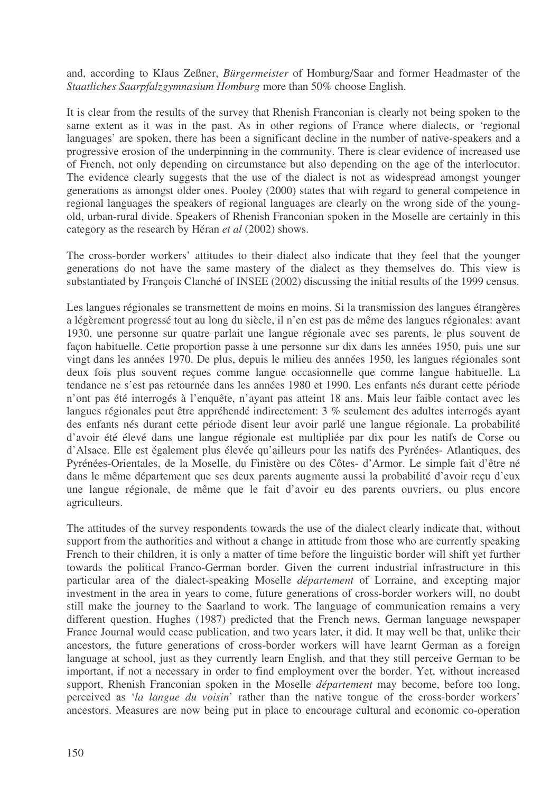and, according to Klaus Zeßner, *Bürgermeister* of Homburg/Saar and former Headmaster of the *Staatliches Saarpfalzgymnasium Homburg* more than 50% choose English.

It is clear from the results of the survey that Rhenish Franconian is clearly not being spoken to the same extent as it was in the past. As in other regions of France where dialects, or 'regional languages' are spoken, there has been a significant decline in the number of native-speakers and a progressive erosion of the underpinning in the community. There is clear evidence of increased use of French, not only depending on circumstance but also depending on the age of the interlocutor. The evidence clearly suggests that the use of the dialect is not as widespread amongst younger generations as amongst older ones. Pooley (2000) states that with regard to general competence in regional languages the speakers of regional languages are clearly on the wrong side of the youngold, urban-rural divide. Speakers of Rhenish Franconian spoken in the Moselle are certainly in this category as the research by Héran *et al* (2002) shows.

The cross-border workers' attitudes to their dialect also indicate that they feel that the younger generations do not have the same mastery of the dialect as they themselves do. This view is substantiated by François Clanché of INSEE (2002) discussing the initial results of the 1999 census.

Les langues régionales se transmettent de moins en moins. Si la transmission des langues étrangères a légèrement progressé tout au long du siècle, il n'en est pas de même des langues régionales: avant 1930, une personne sur quatre parlait une langue régionale avec ses parents, le plus souvent de façon habituelle. Cette proportion passe à une personne sur dix dans les années 1950, puis une sur vingt dans les années 1970. De plus, depuis le milieu des années 1950, les langues régionales sont deux fois plus souvent reçues comme langue occasionnelle que comme langue habituelle. La tendance ne s'est pas retournée dans les années 1980 et 1990. Les enfants nés durant cette période n'ont pas été interrogés à l'enquête, n'ayant pas atteint 18 ans. Mais leur faible contact avec les langues régionales peut être appréhendé indirectement: 3 % seulement des adultes interrogés ayant des enfants nés durant cette période disent leur avoir parlé une langue régionale. La probabilité d'avoir été élevé dans une langue régionale est multipliée par dix pour les natifs de Corse ou d'Alsace. Elle est également plus élevée qu'ailleurs pour les natifs des Pyrénées- Atlantiques, des Pyrénées-Orientales, de la Moselle, du Finistère ou des Côtes- d'Armor. Le simple fait d'être né dans le même département que ses deux parents augmente aussi la probabilité d'avoir reçu d'eux une langue régionale, de même que le fait d'avoir eu des parents ouvriers, ou plus encore agriculteurs.

The attitudes of the survey respondents towards the use of the dialect clearly indicate that, without support from the authorities and without a change in attitude from those who are currently speaking French to their children, it is only a matter of time before the linguistic border will shift yet further towards the political Franco-German border. Given the current industrial infrastructure in this particular area of the dialect-speaking Moselle *département* of Lorraine, and excepting major investment in the area in years to come, future generations of cross-border workers will, no doubt still make the journey to the Saarland to work. The language of communication remains a very different question. Hughes (1987) predicted that the French news, German language newspaper France Journal would cease publication, and two years later, it did. It may well be that, unlike their ancestors, the future generations of cross-border workers will have learnt German as a foreign language at school, just as they currently learn English, and that they still perceive German to be important, if not a necessary in order to find employment over the border. Yet, without increased support, Rhenish Franconian spoken in the Moselle *département* may become, before too long, perceived as '*la langue du voisin*' rather than the native tongue of the cross-border workers' ancestors. Measures are now being put in place to encourage cultural and economic co-operation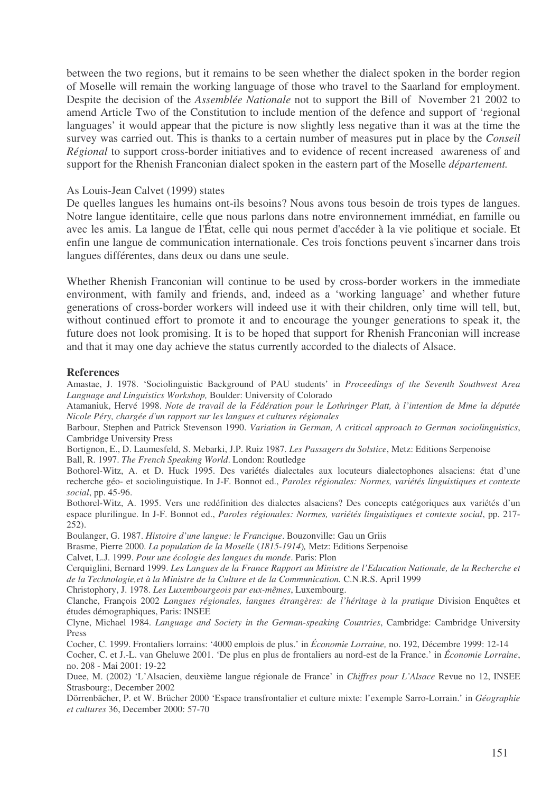between the two regions, but it remains to be seen whether the dialect spoken in the border region of Moselle will remain the working language of those who travel to the Saarland for employment. Despite the decision of the *Assemblée Nationale* not to support the Bill of November 21 2002 to amend Article Two of the Constitution to include mention of the defence and support of 'regional languages' it would appear that the picture is now slightly less negative than it was at the time the survey was carried out. This is thanks to a certain number of measures put in place by the *Conseil Régional* to support cross-border initiatives and to evidence of recent increased awareness of and support for the Rhenish Franconian dialect spoken in the eastern part of the Moselle *département.*

### As Louis-Jean Calvet (1999) states

De quelles langues les humains ont-ils besoins? Nous avons tous besoin de trois types de langues. Notre langue identitaire, celle que nous parlons dans notre environnement immédiat, en famille ou avec les amis. La langue de l'État, celle qui nous permet d'accéder à la vie politique et sociale. Et enfin une langue de communication internationale. Ces trois fonctions peuvent s'incarner dans trois langues différentes, dans deux ou dans une seule.

Whether Rhenish Franconian will continue to be used by cross-border workers in the immediate environment, with family and friends, and, indeed as a 'working language' and whether future generations of cross-border workers will indeed use it with their children, only time will tell, but, without continued effort to promote it and to encourage the younger generations to speak it, the future does not look promising. It is to be hoped that support for Rhenish Franconian will increase and that it may one day achieve the status currently accorded to the dialects of Alsace.

### **References**

Amastae, J. 1978. 'Sociolinguistic Background of PAU students' in *Proceedings of the Seventh Southwest Area Language and Linguistics Workshop,* Boulder: University of Colorado

Atamaniuk, Hervé 1998. Note de travail de la Fédération pour le Lothringer Platt, à l'intention de Mme la députée *Nicole Péry, chargée d'un rapport sur les langues et cultures régionales*

Barbour, Stephen and Patrick Stevenson 1990. *Variation in German, A critical approach to German sociolinguistics*, Cambridge University Press

Bortignon, E., D. Laumesfeld, S. Mebarki, J.P. Ruiz 1987. *Les Passagers du Solstice*, Metz: Editions Serpenoise Ball, R. 1997. *The French Speaking World*. London: Routledge

Bothorel-Witz, A. et D. Huck 1995. Des variétés dialectales aux locuteurs dialectophones alsaciens: état d'une recherche géo- et sociolinguistique. In J-F. Bonnot ed., *Paroles régionales: Normes, variétés linguistiques et contexte social*, pp. 45-96.

Bothorel-Witz, A. 1995. Vers une redéfinition des dialectes alsaciens? Des concepts catégoriques aux variétés d'un espace plurilingue. In J-F. Bonnot ed., *Paroles régionales: Normes, variétés linguistiques et contexte social*, pp. 217- 252).

Boulanger, G. 1987. *Histoire d'une langue: le Francique*. Bouzonville: Gau un Griis

Brasme, Pierre 2000. *La population de la Moselle* (*1815-1914*)*,* Metz: Editions Serpenoise

Calvet, L.J. 1999. *Pour une écologie des langues du monde*. Paris: Plon

Cerquiglini, Bernard 1999. *Les Langues de la France Rapport au Ministre de l'Education Nationale, de la Recherche et de la Technologie,et à la Ministre de la Culture et de la Communication.* C.N.R.S. April 1999

Christophory, J. 1978. *Les Luxembourgeois par eux-mêmes*, Luxembourg.

Clanche, François 2002 *Langues régionales, langues étrangères: de l'héritage à la pratique* Division Enquêtes et études démographiques, Paris: INSEE

Clyne, Michael 1984. *Language and Society in the German-speaking Countries*, Cambridge: Cambridge University Press

Cocher, C. 1999. Frontaliers lorrains: '4000 emplois de plus.' in *Économie Lorraine,* no. 192, Décembre 1999: 12-14

Cocher, C. et J.-L. van Gheluwe 2001. 'De plus en plus de frontaliers au nord-est de la France.' in *Économie Lorraine*, no. 208 - Mai 2001: 19-22

Duee, M. (2002) 'L'Alsacien, deuxième langue régionale de France' in *Chiffres pour L'Alsace* Revue no 12, INSEE Strasbourg:, December 2002

Dörrenbächer, P. et W. Brücher 2000 'Espace transfrontalier et culture mixte: l'exemple Sarro-Lorrain.' in *Géographie et cultures* 36, December 2000: 57-70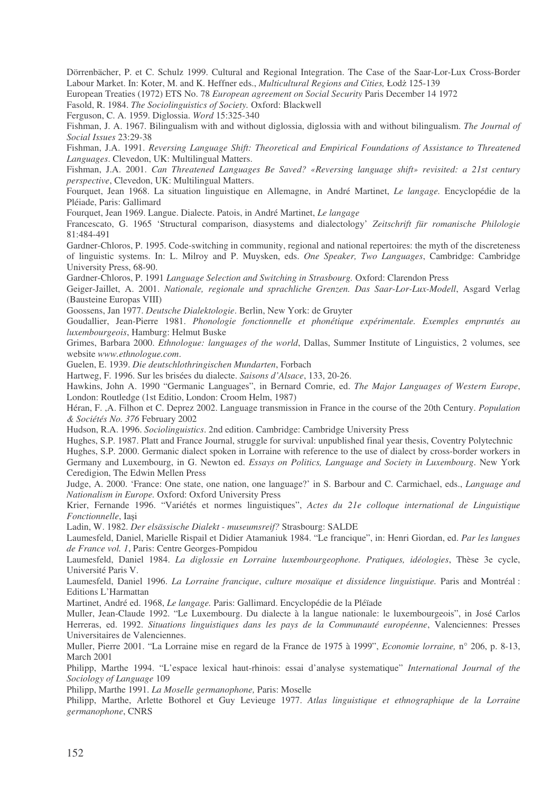Dörrenbächer, P. et C. Schulz 1999. Cultural and Regional Integration. The Case of the Saar-Lor-Lux Cross-Border Labour Market. In: Koter, M. and K. Heffner eds., *Multicultural Regions and Cities*, Łodż 125-139

European Treaties (1972) ETS No. 78 *European agreement on Social Security* Paris December 14 1972

Fasold, R. 1984. *The Sociolinguistics of Society.* Oxford: Blackwell

Ferguson, C. A. 1959. Diglossia. *Word* 15:325-340

Fishman, J. A. 1967. Bilingualism with and without diglossia, diglossia with and without bilingualism. *The Journal of Social Issues* 23:29-38

Fishman, J.A. 1991. *Reversing Language Shift: Theoretical and Empirical Foundations of Assistance to Threatened Languages*. Clevedon, UK: Multilingual Matters.

Fishman, J.A. 2001. *Can Threatened Languages Be Saved? «Reversing language shift» revisited: a 21st century perspective*, Clevedon, UK: Multilingual Matters.

Fourquet, Jean 1968. La situation linguistique en Allemagne, in André Martinet, *Le langage.* Encyclopédie de la Pléiade, Paris: Gallimard

Fourquet, Jean 1969. Langue. Dialecte. Patois, in André Martinet, *Le langage*

Francescato, G. 1965 'Structural comparison, diasystems and dialectology' *Zeitschrift für romanische Philologie* 81:484-491

Gardner-Chloros, P. 1995. Code-switching in community, regional and national repertoires: the myth of the discreteness of linguistic systems. In: L. Milroy and P. Muysken, eds. *One Speaker, Two Languages*, Cambridge: Cambridge University Press, 68-90.

Gardner-Chloros, P. 1991 *Language Selection and Switching in Strasbourg.* Oxford: Clarendon Press

Geiger-Jaillet, A. 2001. *Nationale, regionale und sprachliche Grenzen. Das Saar-Lor-Lux-Modell*, Asgard Verlag (Bausteine Europas VIII)

Goossens, Jan 1977. *Deutsche Dialektologie*. Berlin, New York: de Gruyter

Goudallier, Jean-Pierre 1981. *Phonologie fonctionnelle et phonétique expérimentale. Exemples empruntés au luxembourgeois*, Hamburg: Helmut Buske

Grimes, Barbara 2000. *Ethnologue: languages of the world*, Dallas, Summer Institute of Linguistics, 2 volumes, see website *www.ethnologue.com*.

Guelen, E. 1939. *Die deutschlothringischen Mundarten*, Forbach

Hartweg, F. 1996. Sur les brisées du dialecte. *Saisons d'Alsace*, 133, 20-26.

Hawkins, John A. 1990 "Germanic Languages", in Bernard Comrie, ed. *The Major Languages of Western Europe*, London: Routledge (1st Editio, London: Croom Helm, 1987)

Héran, F. ,A. Filhon et C. Deprez 2002. Language transmission in France in the course of the 20th Century. *Population & Sociétés No. 376* February 2002

Hudson, R.A. 1996. *Sociolinguistics*. 2nd edition. Cambridge: Cambridge University Press

Hughes, S.P. 1987. Platt and France Journal, struggle for survival: unpublished final year thesis, Coventry Polytechnic

Hughes, S.P. 2000. Germanic dialect spoken in Lorraine with reference to the use of dialect by cross-border workers in Germany and Luxembourg, in G. Newton ed. *Essays on Politics, Language and Society in Luxembourg*. New York Ceredigion, The Edwin Mellen Press

Judge, A. 2000. 'France: One state, one nation, one language?' in S. Barbour and C. Carmichael, eds., *Language and Nationalism in Europe.* Oxford: Oxford University Press

Krier, Fernande 1996. "Variétés et normes linguistiques", *Actes du 21e colloque international de Linguistique* Fonctionnelle, Iași

Ladin, W. 1982. *Der elsässische Dialekt - museumsreif?* Strasbourg: SALDE

Laumesfeld, Daniel, Marielle Rispail et Didier Atamaniuk 1984. "Le francique", in: Henri Giordan, ed. *Par les langues de France vol. 1*, Paris: Centre Georges-Pompidou

Laumesfeld, Daniel 1984. *La diglossie en Lorraine luxembourgeophone. Pratiques, idéologies*, Thèse 3e cycle, Université Paris V.

Laumesfeld, Daniel 1996. *La Lorraine francique*, *culture mosaïque et dissidence linguistique.* Paris and Montréal : Editions L'Harmattan

Martinet, André ed. 1968, *Le langage.* Paris: Gallimard. Encyclopédie de la Pléïade

Muller, Jean-Claude 1992. "Le Luxembourg. Du dialecte à la langue nationale: le luxembourgeois", in José Carlos Herreras, ed. 1992. *Situations linguistiques dans les pays de la Communauté européenne*, Valenciennes: Presses Universitaires de Valenciennes.

Muller, Pierre 2001. "La Lorraine mise en regard de la France de 1975 à 1999", *Economie lorraine,* n° 206, p. 8-13, March 2001

Philipp, Marthe 1994. "L'espace lexical haut-rhinois: essai d'analyse systematique" *International Journal of the Sociology of Language* 109

Philipp, Marthe 1991. *La Moselle germanophone,* Paris: Moselle

Philipp, Marthe, Arlette Bothorel et Guy Levieuge 1977. *Atlas linguistique et ethnographique de la Lorraine germanophone*, CNRS